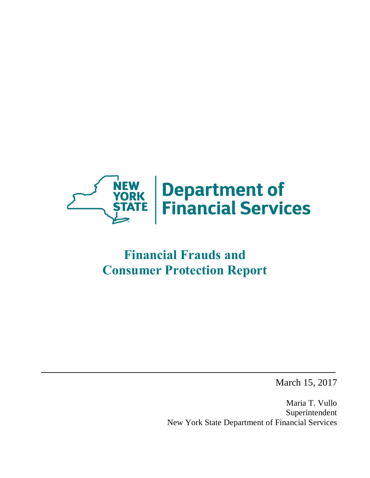

# **Consumer Protection Report Financial Frauds and**

March 15, 2017

 Maria T. Vullo New York State Department of Financial Services Superintendent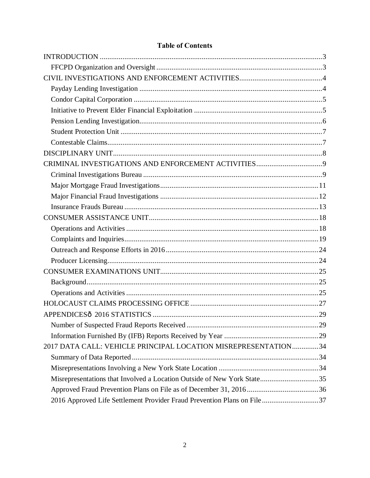# **Table of Contents**

| 2017 DATA CALL: VEHICLE PRINCIPAL LOCATION MISREPRESENTATION34           |  |
|--------------------------------------------------------------------------|--|
|                                                                          |  |
|                                                                          |  |
| Misrepresentations that Involved a Location Outside of New York State35  |  |
|                                                                          |  |
| 2016 Approved Life Settlement Provider Fraud Prevention Plans on File 37 |  |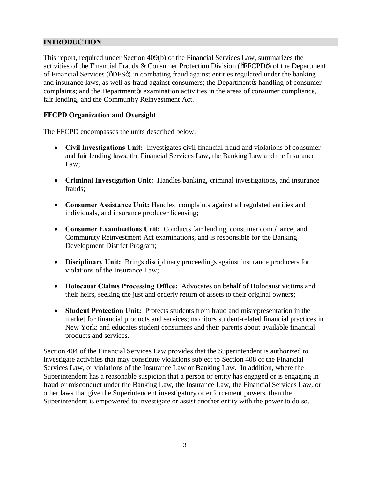# <span id="page-2-0"></span>**INTRODUCTION**

 This report, required under Section 409(b) of the Financial Services Law, summarizes the activities of the Financial Frauds & Consumer Protection Division ( $\delta$ FFCPD $\delta$ ) of the Department of Financial Services (õDFSö) in combating fraud against entities regulated under the banking and insurance laws, as well as fraud against consumers; the Department thandling of consumer complaints; and the Department & examination activities in the areas of consumer compliance, fair lending, and the Community Reinvestment Act.

#### **FFCPD Organization and Oversight**

The FFCPD encompasses the units described below:

- • **Civil Investigations Unit:** Investigates civil financial fraud and violations of consumer and fair lending laws, the Financial Services Law, the Banking Law and the Insurance Law;
- • **Criminal Investigation Unit:** Handles banking, criminal investigations, and insurance frauds;
- **Consumer Assistance Unit:** Handles complaints against all regulated entities and individuals, and insurance producer licensing;
- • **Consumer Examinations Unit:** Conducts fair lending, consumer compliance, and Community Reinvestment Act examinations, and is responsible for the Banking Development District Program;
- • **Disciplinary Unit:** Brings disciplinary proceedings against insurance producers for violations of the Insurance Law;
- **Holocaust Claims Processing Office:** Advocates on behalf of Holocaust victims and their heirs, seeking the just and orderly return of assets to their original owners;
- **Student Protection Unit:** Protects students from fraud and misrepresentation in the market for financial products and services; monitors student-related financial practices in New York; and educates student consumers and their parents about available financial products and services.

 Section 404 of the Financial Services Law provides that the Superintendent is authorized to investigate activities that may constitute violations subject to Section 408 of the Financial Services Law, or violations of the Insurance Law or Banking Law. In addition, where the Superintendent has a reasonable suspicion that a person or entity has engaged or is engaging in fraud or misconduct under the Banking Law, the Insurance Law, the Financial Services Law, or other laws that give the Superintendent investigatory or enforcement powers, then the Superintendent is empowered to investigate or assist another entity with the power to do so.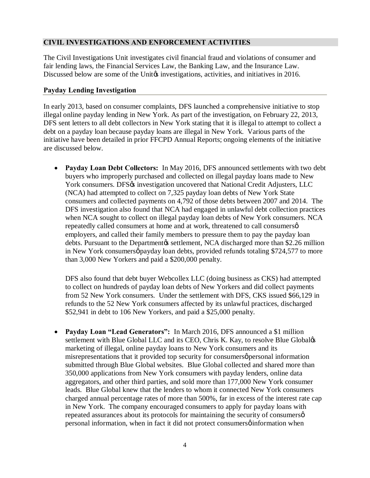#### <span id="page-3-0"></span>**CIVIL INVESTIGATIONS AND ENFORCEMENT ACTIVITIES**

 The Civil Investigations Unit investigates civil financial fraud and violations of consumer and fair lending laws, the Financial Services Law, the Banking Law, and the Insurance Law. Discussed below are some of the Unit $\alpha$  investigations, activities, and initiatives in 2016.

#### **Payday Lending Investigation**

 In early 2013, based on consumer complaints, DFS launched a comprehensive initiative to stop illegal online payday lending in New York. As part of the investigation, on February 22, 2013, DFS sent letters to all debt collectors in New York stating that it is illegal to attempt to collect a debt on a payday loan because payday loans are illegal in New York. Various parts of the initiative have been detailed in prior FFCPD Annual Reports; ongoing elements of the initiative are discussed below.

 • **Payday Loan Debt Collectors:** In May 2016, DFS announced settlements with two debt buyers who improperly purchased and collected on illegal payday loans made to New York consumers. DFS% investigation uncovered that National Credit Adjusters, LLC (NCA) had attempted to collect on 7,325 payday loan debts of New York State consumers and collected payments on 4,792 of those debts between 2007 and 2014. The DFS investigation also found that NCA had engaged in unlawful debt collection practices when NCA sought to collect on illegal payday loan debts of New York consumers. NCA repeatedly called consumers at home and at work, threatened to call consumerse employers, and called their family members to pressure them to pay the payday loan debts. Pursuant to the Department ts settlement, NCA discharged more than \$2.26 million in New York consumersø payday loan debts, provided refunds totaling \$724,577 to more than 3,000 New Yorkers and paid a \$200,000 penalty.

than 3,000 New Yorkers and paid a \$200,000 penalty.<br>DFS also found that debt buyer Webcollex LLC (doing business as CKS) had attempted to collect on hundreds of payday loan debts of New Yorkers and did collect payments from 52 New York consumers. Under the settlement with DFS, CKS issued \$66,129 in refunds to the 52 New York consumers affected by its unlawful practices, discharged \$52,941 in debt to 106 New Yorkers, and paid a \$25,000 penalty.

 • **Payday Loan "Lead Generators":** In March 2016, DFS announced a \$1 million settlement with Blue Global LLC and its CEO, Chris K. Kay, to resolve Blue Globaløs marketing of illegal, online payday loans to New York consumers and its misrepresentations that it provided top security for consumersøpersonal information submitted through Blue Global websites. Blue Global collected and shared more than 350,000 applications from New York consumers with payday lenders, online data aggregators, and other third parties, and sold more than 177,000 New York consumer leads. Blue Global knew that the lenders to whom it connected New York consumers charged annual percentage rates of more than 500%, far in excess of the interest rate cap in New York. The company encouraged consumers to apply for payday loans with repeated assurances about its protocols for maintaining the security of consumerse personal information, when in fact it did not protect consumersø information when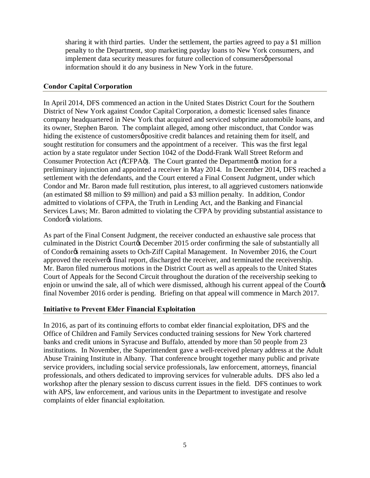<span id="page-4-0"></span> sharing it with third parties. Under the settlement, the parties agreed to pay a \$1 million penalty to the Department, stop marketing payday loans to New York consumers, and implement data security measures for future collection of consumersøpersonal information should it do any business in New York in the future.

#### **Condor Capital Corporation**

 In April 2014, DFS commenced an action in the United States District Court for the Southern District of New York against Condor Capital Corporation, a domestic licensed sales finance its owner, Stephen Baron. The complaint alleged, among other misconduct, that Condor was hiding the existence of customersø positive credit balances and retaining them for itself, and sought restitution for consumers and the appointment of a receiver. This was the first legal action by a state regulator under Section 1042 of the Dodd-Frank Wall Street Reform and Consumer Protection Act (õCFPAö). The Court granted the Department¢s motion for a preliminary injunction and appointed a receiver in May 2014. In December 2014, DFS reached a settlement with the defendants, and the Court entered a Final Consent Judgment, under which Condor and Mr. Baron made full restitution, plus interest, to all aggrieved customers nationwide (an estimated \$8 million to \$9 million) and paid a \$3 million penalty. In addition, Condor admitted to violations of CFPA, the Truth in Lending Act, and the Banking and Financial Services Laws; Mr. Baron admitted to violating the CFPA by providing substantial assistance to Condor<sup>®</sup> violations. company headquartered in New York that acquired and serviced subprime automobile loans, and

 As part of the Final Consent Judgment, the receiver conducted an exhaustive sale process that culminated in the District Courtos December 2015 order confirming the sale of substantially all of Condor¢s remaining assets to Och-Ziff Capital Management. In November 2016, the Court approved the receiver $\alpha$  final report, discharged the receiver, and terminated the receivership. Mr. Baron filed numerous motions in the District Court as well as appeals to the United States Court of Appeals for the Second Circuit throughout the duration of the receivership seeking to enjoin or unwind the sale, all of which were dismissed, although his current appeal of the Courtos final November 2016 order is pending. Briefing on that appeal will commence in March 2017.

#### **Initiative to Prevent Elder Financial Exploitation**

 In 2016, as part of its continuing efforts to combat elder financial exploitation, DFS and the Office of Children and Family Services conducted training sessions for New York chartered banks and credit unions in Syracuse and Buffalo, attended by more than 50 people from 23 institutions. In November, the Superintendent gave a well-received plenary address at the Adult Abuse Training Institute in Albany. That conference brought together many public and private service providers, including social service professionals, law enforcement, attorneys, financial professionals, and others dedicated to improving services for vulnerable adults. DFS also led a workshop after the plenary session to discuss current issues in the field. DFS continues to work with APS, law enforcement, and various units in the Department to investigate and resolve complaints of elder financial exploitation.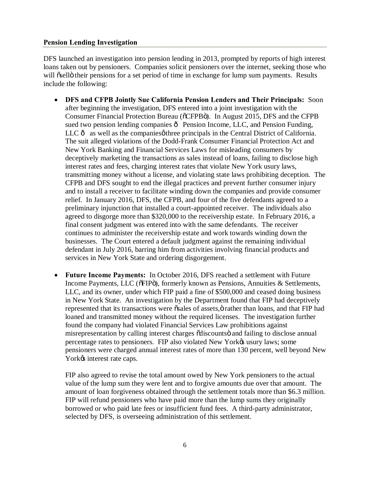#### <span id="page-5-0"></span> **Pension Lending Investigation**

 DFS launched an investigation into pension lending in 2013, prompted by reports of high interest loans taken out by pensioners. Companies solicit pensioners over the internet, seeking those who will õsellö their pensions for a set period of time in exchange for lump sum payments. Results include the following:

- **DFS and CFPB Jointly Sue California Pension Lenders and Their Principals:** Soon after beginning the investigation, DFS entered into a joint investigation with the Consumer Financial Protection Bureau ( $\delta$ CFPB $\ddot{o}$ ). In August 2015, DFS and the CFPB sued two pension lending companies  $\hat{o}$  Pension Income, LLC, and Pension Funding, LLC  $\hat{o}$  as well as the companies  $\phi$  three principals in the Central District of California. The suit alleged violations of the Dodd-Frank Consumer Financial Protection Act and New York Banking and Financial Services Laws for misleading consumers by deceptively marketing the transactions as sales instead of loans, failing to disclose high interest rates and fees, charging interest rates that violate New York usury laws, transmitting money without a license, and violating state laws prohibiting deception. The CFPB and DFS sought to end the illegal practices and prevent further consumer injury and to install a receiver to facilitate winding down the companies and provide consumer relief. In January 2016, DFS, the CFPB, and four of the five defendants agreed to a preliminary injunction that installed a court-appointed receiver. The individuals also agreed to disgorge more than \$320,000 to the receivership estate. In February 2016, a final consent judgment was entered into with the same defendants. The receiver continues to administer the receivership estate and work towards winding down the businesses. The Court entered a default judgment against the remaining individual defendant in July 2016, barring him from activities involving financial products and services in New York State and ordering disgorgement.
- **Future Income Payments:** In October 2016, DFS reached a settlement with Future Income Payments, LLC ( $\delta$ FIP $\ddot{o}$ ), formerly known as Pensions, Annuities & Settlements, LLC, and its owner, under which FIP paid a fine of \$500,000 and ceased doing business in New York State. An investigation by the Department found that FIP had deceptively represented that its transactions were osales of assets, ö rather than loans, and that FIP had loaned and transmitted money without the required licenses. The investigation further found the company had violated Financial Services Law prohibitions against misrepresentation by calling interest charges  $\tilde{o}$ discounts $\ddot{o}$  and failing to disclose annual percentage rates to pensioners. FIP also violated New Yorkø usury laws; some pensioners were charged annual interest rates of more than 130 percent, well beyond New Yorkø interest rate caps.

 FIP also agreed to revise the total amount owed by New York pensioners to the actual value of the lump sum they were lent and to forgive amounts due over that amount. The amount of loan forgiveness obtained through the settlement totals more than \$6.3 million. FIP will refund pensioners who have paid more than the lump sums they originally borrowed or who paid late fees or insufficient fund fees. A third-party administrator, selected by DFS, is overseeing administration of this settlement.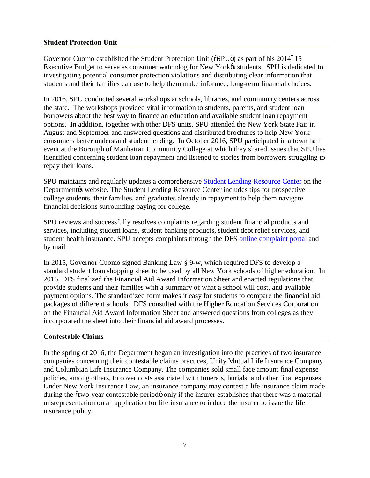#### <span id="page-6-0"></span> **Student Protection Unit**

Governor Cuomo established the Student Protection Unit ( $\delta$ SPU $\ddot{\text{o}}$ ) as part of his 2014615 Executive Budget to serve as consumer watchdog for New York $\alpha$  students. SPU is dedicated to investigating potential consumer protection violations and distributing clear information that students and their families can use to help them make informed, long-term financial choices.

 In 2016, SPU conducted several workshops at schools, libraries, and community centers across the state. The workshops provided vital information to students, parents, and student loan borrowers about the best way to finance an education and available student loan repayment options. In addition, together with other DFS units, SPU attended the New York State Fair in August and September and answered questions and distributed brochures to help New York consumers better understand student lending. In October 2016, SPU participated in a town hall event at the Borough of Manhattan Community College at which they shared issues that SPU has identified concerning student loan repayment and listened to stories from borrowers struggling to repay their loans.

SPU maintains and regularly updates a comprehensive **Student Lending Resource Center** on the Departmentøs website. The Student Lending Resource Center includes tips for prospective college students, their families, and graduates already in repayment to help them navigate financial decisions surrounding paying for college.

 SPU reviews and successfully resolves complaints regarding student financial products and services, including student loans, student banking products, student debt relief services, and student health insurance. SPU accepts complaints through the DFS online complaint portal and by mail.

 In 2015, Governor Cuomo signed Banking Law § 9-w, which required DFS to develop a standard student loan shopping sheet to be used by all New York schools of higher education. In 2016, DFS finalized the Financial Aid Award Information Sheet and enacted regulations that provide students and their families with a summary of what a school will cost, and available payment options. The standardized form makes it easy for students to compare the financial aid packages of different schools. DFS consulted with the Higher Education Services Corporation on the Financial Aid Award Information Sheet and answered questions from colleges as they incorporated the sheet into their financial aid award processes.

# **Contestable Claims**

 In the spring of 2016, the Department began an investigation into the practices of two insurance companies concerning their contestable claims practices, Unity Mutual Life Insurance Company and Columbian Life Insurance Company. The companies sold small face amount final expense policies, among others, to cover costs associated with funerals, burials, and other final expenses. Under New York Insurance Law, an insurance company may contest a life insurance claim made during the õtwo-year contestable periodö only if the insurer establishes that there was a material misrepresentation on an application for life insurance to induce the insurer to issue the life insurance policy. insurance policy.<br>
<sup>7</sup>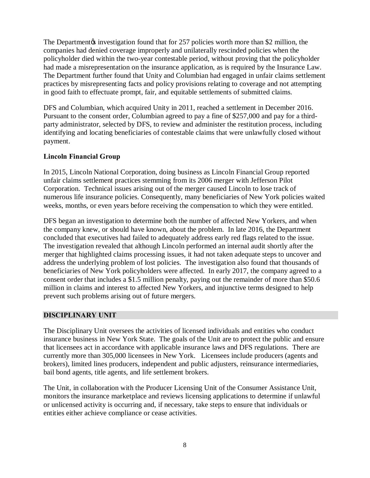<span id="page-7-0"></span>The Department to investigation found that for 257 policies worth more than \$2 million, the companies had denied coverage improperly and unilaterally rescinded policies when the policyholder died within the two-year contestable period, without proving that the policyholder had made a misrepresentation on the insurance application, as is required by the Insurance Law. The Department further found that Unity and Columbian had engaged in unfair claims settlement practices by misrepresenting facts and policy provisions relating to coverage and not attempting in good faith to effectuate prompt, fair, and equitable settlements of submitted claims.

 DFS and Columbian, which acquired Unity in 2011, reached a settlement in December 2016. Pursuant to the consent order, Columbian agreed to pay a fine of \$257,000 and pay for a third- party administrator, selected by DFS, to review and administer the restitution process, including identifying and locating beneficiaries of contestable claims that were unlawfully closed without payment.

#### **Lincoln Financial Group**

 In 2015, Lincoln National Corporation, doing business as Lincoln Financial Group reported unfair claims settlement practices stemming from its 2006 merger with Jefferson Pilot Corporation. Technical issues arising out of the merger caused Lincoln to lose track of numerous life insurance policies. Consequently, many beneficiaries of New York policies waited weeks, months, or even years before receiving the compensation to which they were entitled.

 DFS began an investigation to determine both the number of affected New Yorkers, and when the company knew, or should have known, about the problem. In late 2016, the Department concluded that executives had failed to adequately address early red flags related to the issue. The investigation revealed that although Lincoln performed an internal audit shortly after the merger that highlighted claims processing issues, it had not taken adequate steps to uncover and address the underlying problem of lost policies. The investigation also found that thousands of beneficiaries of New York policyholders were affected. In early 2017, the company agreed to a consent order that includes a \$1.5 million penalty, paying out the remainder of more than \$50.6 million in claims and interest to affected New Yorkers, and injunctive terms designed to help prevent such problems arising out of future mergers.

# **DISCIPLINARY UNIT**

 The Disciplinary Unit oversees the activities of licensed individuals and entities who conduct insurance business in New York State. The goals of the Unit are to protect the public and ensure that licensees act in accordance with applicable insurance laws and DFS regulations. There are currently more than 305,000 licensees in New York. Licensees include producers (agents and brokers), limited lines producers, independent and public adjusters, reinsurance intermediaries, bail bond agents, title agents, and life settlement brokers.

 The Unit, in collaboration with the Producer Licensing Unit of the Consumer Assistance Unit, monitors the insurance marketplace and reviews licensing applications to determine if unlawful or unlicensed activity is occurring and, if necessary, take steps to ensure that individuals or entities either achieve compliance or cease activities.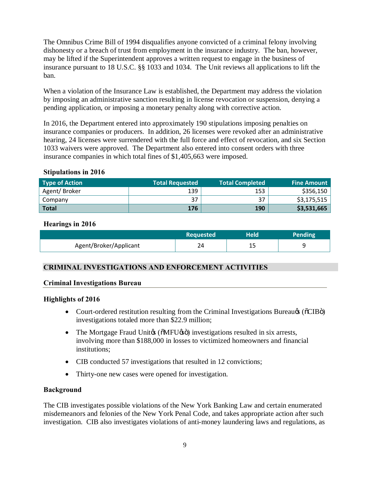The Omnibus Crime Bill of 1994 disqualifies anyone convicted of a criminal felony involving dishonesty or a breach of trust from employment in the insurance industry. The ban, however, may be lifted if the Superintendent approves a written request to engage in the business of insurance pursuant to 18 U.S.C. §§ 1033 and 1034. The Unit reviews all applications to lift the han.

ban.<br>When a violation of the Insurance Law is established, the Department may address the violation by imposing an administrative sanction resulting in license revocation or suspension, denying a pending application, or imposing a monetary penalty along with corrective action.

 In 2016, the Department entered into approximately 190 stipulations imposing penalties on insurance companies or producers. In addition, 26 licenses were revoked after an administrative hearing, 24 licenses were surrendered with the full force and effect of revocation, and six Section 1033 waivers were approved. The Department also entered into consent orders with three insurance companies in which total fines of \$1,405,663 were imposed.

#### **Stipulations in 2016**

| <b>Type of Action</b> | <b>Total Requested</b> | <b>Total Completed</b> | <b>Fine Amount</b> |
|-----------------------|------------------------|------------------------|--------------------|
| Agent/Broker          | 139                    | 153                    | \$356,150          |
| Company               | 37                     | 37                     | \$3,175,515        |
| <b>Total</b>          | 176                    | 190                    | \$3,531,665        |

#### **Hearings in 2016**

|                        | <b>Requested</b> | Held <sup>'</sup> | <b>Pending</b> |
|------------------------|------------------|-------------------|----------------|
| Agent/Broker/Applicant |                  | ᅩ                 |                |

# **CRIMINAL INVESTIGATIONS AND ENFORCEMENT ACTIVITIES**

#### **Criminal Investigations Bureau**

#### **Highlights of 2016**

- Court-ordered restitution resulting from the Criminal Investigations Bureau $\otimes$  ( $\delta$ CIB $\ddot{\circ}$ ) investigations totaled more than \$22.9 million;
- The Mortgage Fraud Unitos ( $\delta$ MFU $\delta$ so) investigations resulted in six arrests, involving more than \$188,000 in losses to victimized homeowners and financial institutions;
- CIB conducted 57 investigations that resulted in 12 convictions;
- Thirty-one new cases were opened for investigation.

# **Background**

 The CIB investigates possible violations of the New York Banking Law and certain enumerated misdemeanors and felonies of the New York Penal Code, and takes appropriate action after such investigation. CIB also investigates violations of anti-money laundering laws and regulations, as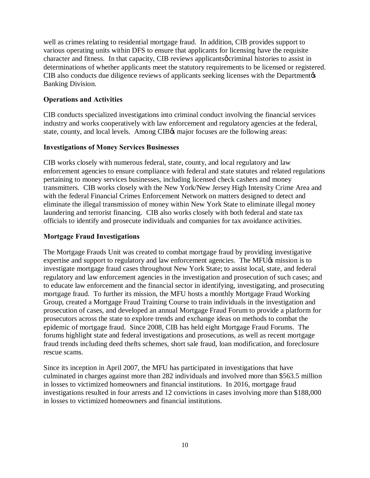well as crimes relating to residential mortgage fraud. In addition, CIB provides support to various operating units within DFS to ensure that applicants for licensing have the requisite character and fitness. In that capacity, CIB reviews applicants ocriminal histories to assist in determinations of whether applicants meet the statutory requirements to be licensed or registered. CIB also conducts due diligence reviews of applicants seeking licenses with the Department  $\alpha$ Banking Division.

# **Operations and Activities**

 CIB conducts specialized investigations into criminal conduct involving the financial services industry and works cooperatively with law enforcement and regulatory agencies at the federal, state, county, and local levels. Among CIB $\alpha$  major focuses are the following areas:

#### **Investigations of Money Services Businesses**

 CIB works closely with numerous federal, state, county, and local regulatory and law enforcement agencies to ensure compliance with federal and state statutes and related regulations pertaining to money services businesses, including licensed check cashers and money transmitters. CIB works closely with the New York/New Jersey High Intensity Crime Area and with the federal Financial Crimes Enforcement Network on matters designed to detect and eliminate the illegal transmission of money within New York State to eliminate illegal money laundering and terrorist financing. CIB also works closely with both federal and state tax officials to identify and prosecute individuals and companies for tax avoidance activities.

#### **Mortgage Fraud Investigations**

 The Mortgage Frauds Unit was created to combat mortgage fraud by providing investigative expertise and support to regulatory and law enforcement agencies. The MFU $\alpha$  mission is to investigate mortgage fraud cases throughout New York State; to assist local, state, and federal regulatory and law enforcement agencies in the investigation and prosecution of such cases; and to educate law enforcement and the financial sector in identifying, investigating, and prosecuting mortgage fraud. To further its mission, the MFU hosts a monthly Mortgage Fraud Working Group, created a Mortgage Fraud Training Course to train individuals in the investigation and prosecution of cases, and developed an annual Mortgage Fraud Forum to provide a platform for prosecutors across the state to explore trends and exchange ideas on methods to combat the epidemic of mortgage fraud. Since 2008, CIB has held eight Mortgage Fraud Forums. The forums highlight state and federal investigations and prosecutions, as well as recent mortgage fraud trends including deed thefts schemes, short sale fraud, loan modification, and foreclosure rescue scams.

rescue scams.<br>Since its inception in April 2007, the MFU has participated in investigations that have culminated in charges against more than 282 individuals and involved more than \$563.5 million in losses to victimized homeowners and financial institutions. In 2016, mortgage fraud investigations resulted in four arrests and 12 convictions in cases involving more than \$188,000 in losses to victimized homeowners and financial institutions.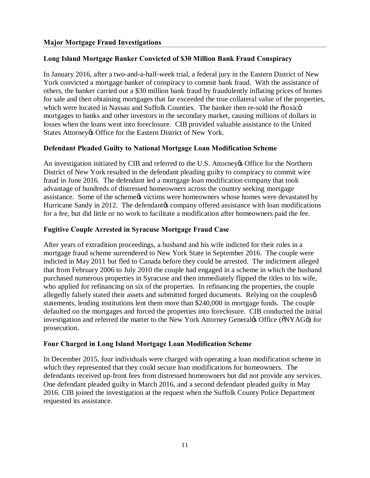# <span id="page-10-0"></span> **Long Island Mortgage Banker Convicted of \$30 Million Bank Fraud Conspiracy**

 In January 2016, after a two-and-a-half-week trial, a federal jury in the Eastern District of New York convicted a mortgage banker of conspiracy to commit bank fraud. With the assistance of others, the banker carried out a \$30 million bank fraud by fraudulently inflating prices of homes for sale and then obtaining mortgages that far exceeded the true collateral value of the properties, which were located in Nassau and Suffolk Counties. The banker then re-sold the õtoxicö mortgages to banks and other investors in the secondary market, causing millions of dollars in losses when the loans went into foreclosure. CIB provided valuable assistance to the United States Attorney & Office for the Eastern District of New York.

# **Defendant Pleaded Guilty to National Mortgage Loan Modification Scheme**

An investigation initiated by CIB and referred to the U.S. Attorney & Office for the Northern District of New York resulted in the defendant pleading guilty to conspiracy to commit wire fraud in June 2016. The defendant led a mortgage loan modification company that took advantage of hundreds of distressed homeowners across the country seeking mortgage assistance. Some of the scheme tvictims were homeowners whose homes were devastated by Hurricane Sandy in 2012. The defendant to company offered assistance with loan modifications for a fee, but did little or no work to facilitate a modification after homeowners paid the fee.

#### **Fugitive Couple Arrested in Syracuse Mortgage Fraud Case**

 After years of extradition proceedings, a husband and his wife indicted for their roles in a mortgage fraud scheme surrendered to New York State in September 2016. The couple were indicted in May 2011 but fled to Canada before they could be arrested. The indictment alleged that from February 2006 to July 2010 the couple had engaged in a scheme in which the husband purchased numerous properties in Syracuse and then immediately flipped the titles to his wife, who applied for refinancing on six of the properties. In refinancing the properties, the couple allegedly falsely stated their assets and submitted forged documents. Relying on the couplese statements, lending institutions lent them more than \$240,000 in mortgage funds. The couple defaulted on the mortgages and forced the properties into foreclosure. CIB conducted the initial investigation and referred the matter to the New York Attorney Generaløs Office ( $\delta$ NYAG $\ddot{o}$ ) for prosecution.

# **Four Charged in Long Island Mortgage Loan Modification Scheme**

 In December 2015, four individuals were charged with operating a loan modification scheme in which they represented that they could secure loan modifications for homeowners. The defendants received up-front fees from distressed homeowners but did not provide any services. One defendant pleaded guilty in March 2016, and a second defendant pleaded guilty in May 2016. CIB joined the investigation at the request when the Suffolk County Police Department requested its assistance.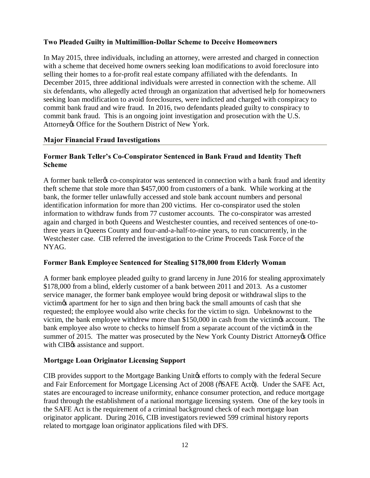# <span id="page-11-0"></span> **Two Pleaded Guilty in Multimillion-Dollar Scheme to Deceive Homeowners**

 In May 2015, three individuals, including an attorney, were arrested and charged in connection selling their homes to a for-profit real estate company affiliated with the defendants. In December 2015, three additional individuals were arrested in connection with the scheme. All six defendants, who allegedly acted through an organization that advertised help for homeowners seeking loan modification to avoid foreclosures, were indicted and charged with conspiracy to commit bank fraud and wire fraud. In 2016, two defendants pleaded guilty to conspiracy to commit bank fraud. This is an ongoing joint investigation and prosecution with the U.S. Attorney & Office for the Southern District of New York. with a scheme that deceived home owners seeking loan modifications to avoid foreclosure into

# **Major Financial Fraud Investigations**

# **Former Bank Teller's Co-Conspirator Sentenced in Bank Fraud and Identity Theft Scheme**

A former bank teller *(s* co-conspirator was sentenced in connection with a bank fraud and identity theft scheme that stole more than \$457,000 from customers of a bank. While working at the bank, the former teller unlawfully accessed and stole bank account numbers and personal identification information for more than 200 victims. Her co-conspirator used the stolen information to withdraw funds from 77 customer accounts. The co-conspirator was arrested again and charged in both Queens and Westchester counties, and received sentences of one-to- three years in Queens County and four-and-a-half-to-nine years, to run concurrently, in the Westchester case. CIB referred the investigation to the Crime Proceeds Task Force of the NYAG.

# **Former Bank Employee Sentenced for Stealing \$178,000 from Elderly Woman**

 A former bank employee pleaded guilty to grand larceny in June 2016 for stealing approximately \$178,000 from a blind, elderly customer of a bank between 2011 and 2013. As a customer service manager, the former bank employee would bring deposit or withdrawal slips to the victimes apartment for her to sign and then bring back the small amounts of cash that she requested; the employee would also write checks for the victim to sign. Unbeknownst to the victim, the bank employee withdrew more than \$150,000 in cash from the victimes account. The bank employee also wrote to checks to himself from a separate account of the victimos in the summer of 2015. The matter was prosecuted by the New York County District Attorney & Office with CIB $\alpha$  assistance and support.

# **Mortgage Loan Originator Licensing Support**

CIB provides support to the Mortgage Banking Unitos efforts to comply with the federal Secure and Fair Enforcement for Mortgage Licensing Act of 2008 ( $\delta$ SAFE Acto). Under the SAFE Act, states are encouraged to increase uniformity, enhance consumer protection, and reduce mortgage fraud through the establishment of a national mortgage licensing system. One of the key tools in the SAFE Act is the requirement of a criminal background check of each mortgage loan originator applicant. During 2016, CIB investigators reviewed 599 criminal history reports related to mortgage loan originator applications filed with DFS.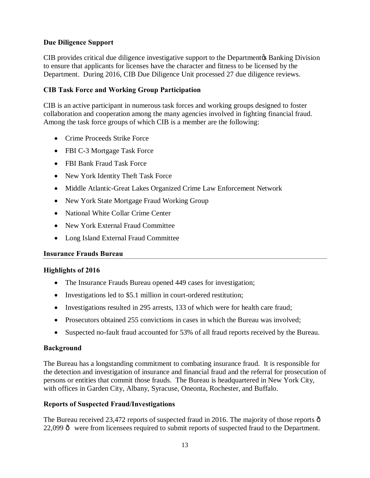# <span id="page-12-0"></span>**Due Diligence Support**

CIB provides critical due diligence investigative support to the Department & Banking Division to ensure that applicants for licenses have the character and fitness to be licensed by the Department. During 2016, CIB Due Diligence Unit processed 27 due diligence reviews.

# **CIB Task Force and Working Group Participation**

 CIB is an active participant in numerous task forces and working groups designed to foster collaboration and cooperation among the many agencies involved in fighting financial fraud. Among the task force groups of which CIB is a member are the following:

- Crime Proceeds Strike Force
- FBI C-3 Mortgage Task Force
- FBI Bank Fraud Task Force
- New York Identity Theft Task Force
- Middle Atlantic-Great Lakes Organized Crime Law Enforcement Network
- New York State Mortgage Fraud Working Group
- National White Collar Crime Center
- New York External Fraud Committee
- Long Island External Fraud Committee

# **Insurance Frauds Bureau**

# **Highlights of 2016**

- The Insurance Frauds Bureau opened 449 cases for investigation;
- Investigations led to \$5.1 million in court-ordered restitution;
- Investigations resulted in 295 arrests, 133 of which were for health care fraud;
- Prosecutors obtained 255 convictions in cases in which the Bureau was involved;
- Suspected no-fault fraud accounted for 53% of all fraud reports received by the Bureau.

# **Background**

 The Bureau has a longstanding commitment to combating insurance fraud. It is responsible for the detection and investigation of insurance and financial fraud and the referral for prosecution of persons or entities that commit those frauds. The Bureau is headquartered in New York City, with offices in Garden City, Albany, Syracuse, Oneonta, Rochester, and Buffalo.

# **Reports of Suspected Fraud/Investigations**

The Bureau received 23,472 reports of suspected fraud in 2016. The majority of those reports  $\hat{o}$ 22,099  $\hat{o}$  were from licensees required to submit reports of suspected fraud to the Department.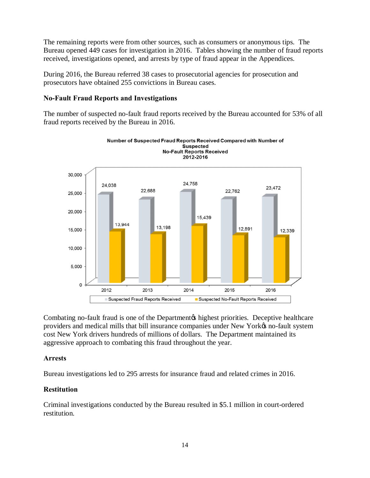The remaining reports were from other sources, such as consumers or anonymous tips. The Bureau opened 449 cases for investigation in 2016. Tables showing the number of fraud reports received, investigations opened, and arrests by type of fraud appear in the Appendices.

 During 2016, the Bureau referred 38 cases to prosecutorial agencies for prosecution and prosecutors have obtained 255 convictions in Bureau cases.

#### **No-Fault Fraud Reports and Investigations**

 The number of suspected no-fault fraud reports received by the Bureau accounted for 53% of all fraud reports received by the Bureau in 2016.



Combating no-fault fraud is one of the Department the highest priorities. Deceptive healthcare providers and medical mills that bill insurance companies under New York $\alpha$  no-fault system cost New York drivers hundreds of millions of dollars. The Department maintained its aggressive approach to combating this fraud throughout the year.

#### **Arrests**

Bureau investigations led to 295 arrests for insurance fraud and related crimes in 2016.

# **Restitution**

 Criminal investigations conducted by the Bureau resulted in \$5.1 million in court-ordered restitution.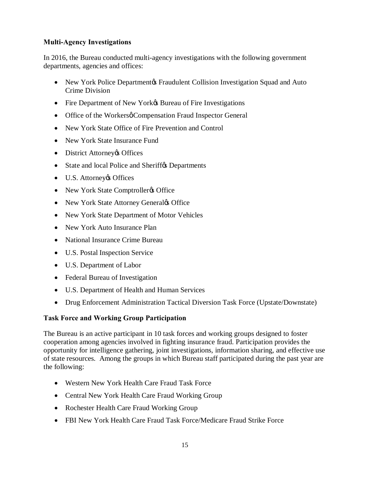# **Multi-Agency Investigations**

 In 2016, the Bureau conducted multi-agency investigations with the following government departments, agencies and offices:

- New York Police Department & Fraudulent Collision Investigation Squad and Auto Crime Division
- Fire Department of New York $\&$  Bureau of Fire Investigations
- Office of the Workersø Compensation Fraud Inspector General
- New York State Office of Fire Prevention and Control
- New York State Insurance Fund
- District Attorney & Offices
- State and local Police and Sheriff $\alpha$  Departments
- U.S. Attorney & Offices
- New York State Comptroller & Office
- New York State Attorney Generaløs Office
- New York State Department of Motor Vehicles
- New York Auto Insurance Plan
- National Insurance Crime Bureau
- U.S. Postal Inspection Service
- U.S. Department of Labor
- Federal Bureau of Investigation
- U.S. Department of Health and Human Services
- Drug Enforcement Administration Tactical Diversion Task Force (Upstate/Downstate)

# **Task Force and Working Group Participation**

 The Bureau is an active participant in 10 task forces and working groups designed to foster cooperation among agencies involved in fighting insurance fraud. Participation provides the opportunity for intelligence gathering, joint investigations, information sharing, and effective use of state resources. Among the groups in which Bureau staff participated during the past year are the following:

- Western New York Health Care Fraud Task Force
- Central New York Health Care Fraud Working Group
- Rochester Health Care Fraud Working Group
- FBI New York Health Care Fraud Task Force/Medicare Fraud Strike Force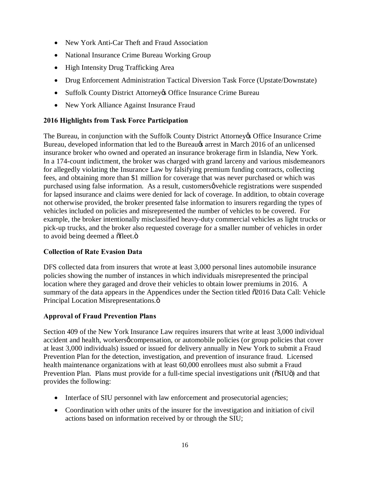- New York Anti-Car Theft and Fraud Association
- National Insurance Crime Bureau Working Group
- High Intensity Drug Trafficking Area
- Drug Enforcement Administration Tactical Diversion Task Force (Upstate/Downstate)
- Suffolk County District Attorney & Office Insurance Crime Bureau
- New York Alliance Against Insurance Fraud

# **2016 Highlights from Task Force Participation**

The Bureau, in conjunction with the Suffolk County District Attorney & Office Insurance Crime Bureau, developed information that led to the Bureau $\alpha$  arrest in March 2016 of an unlicensed insurance broker who owned and operated an insurance brokerage firm in Islandia, New York. In a 174-count indictment, the broker was charged with grand larceny and various misdemeanors for allegedly violating the Insurance Law by falsifying premium funding contracts, collecting fees, and obtaining more than \$1 million for coverage that was never purchased or which was purchased using false information. As a result, customersø vehicle registrations were suspended for lapsed insurance and claims were denied for lack of coverage. In addition, to obtain coverage not otherwise provided, the broker presented false information to insurers regarding the types of vehicles included on policies and misrepresented the number of vehicles to be covered. For example, the broker intentionally misclassified heavy-duty commercial vehicles as light trucks or pick-up trucks, and the broker also requested coverage for a smaller number of vehicles in order to avoid being deemed a ofleet.  $\ddot{o}$ 

# **Collection of Rate Evasion Data**

 DFS collected data from insurers that wrote at least 3,000 personal lines automobile insurance policies showing the number of instances in which individuals misrepresented the principal location where they garaged and drove their vehicles to obtain lower premiums in 2016. A summary of the data appears in the Appendices under the Section titled  $\delta$ 2016 Data Call: Vehicle Principal Location Misrepresentations.ö

# **Approval of Fraud Prevention Plans**

 Section 409 of the New York Insurance Law requires insurers that write at least 3,000 individual accident and health, workersø compensation, or automobile policies (or group policies that cover at least 3,000 individuals) issued or issued for delivery annually in New York to submit a Fraud Prevention Plan for the detection, investigation, and prevention of insurance fraud. Licensed health maintenance organizations with at least 60,000 enrollees must also submit a Fraud Prevention Plan. Plans must provide for a full-time special investigations unit ( $\delta$ SIU $\ddot{\text{o}}$ ) and that provides the following:

- Interface of SIU personnel with law enforcement and prosecutorial agencies;
- • Coordination with other units of the insurer for the investigation and initiation of civil actions based on information received by or through the SIU;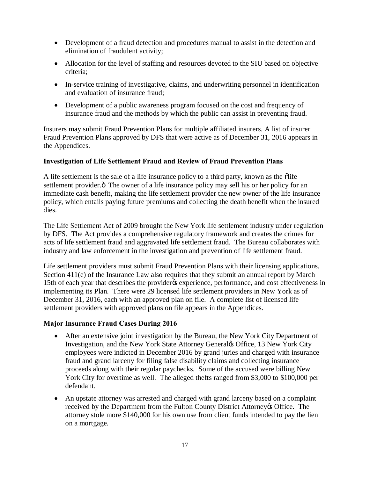- • Development of a fraud detection and procedures manual to assist in the detection and elimination of fraudulent activity;
- • Allocation for the level of staffing and resources devoted to the SIU based on objective criteria;
- • In-service training of investigative, claims, and underwriting personnel in identification and evaluation of insurance fraud;
- • Development of a public awareness program focused on the cost and frequency of insurance fraud and the methods by which the public can assist in preventing fraud.

 Insurers may submit Fraud Prevention Plans for multiple affiliated insurers. A list of insurer Fraud Prevention Plans approved by DFS that were active as of December 31, 2016 appears in the Appendices.

# **Investigation of Life Settlement Fraud and Review of Fraud Prevention Plans**

A life settlement is the sale of a life insurance policy to a third party, known as the õlife settlement provider. " The owner of a life insurance policy may sell his or her policy for an immediate cash benefit, making the life settlement provider the new owner of the life insurance policy, which entails paying future premiums and collecting the death benefit when the insured dies.

 The Life Settlement Act of 2009 brought the New York life settlement industry under regulation by DFS. The Act provides a comprehensive regulatory framework and creates the crimes for acts of life settlement fraud and aggravated life settlement fraud. The Bureau collaborates with industry and law enforcement in the investigation and prevention of life settlement fraud.

 Life settlement providers must submit Fraud Prevention Plans with their licensing applications. Section 411(e) of the Insurance Law also requires that they submit an annual report by March 15th of each year that describes the provider  $\alpha$  experience, performance, and cost effectiveness in implementing its Plan. There were 29 licensed life settlement providers in New York as of December 31, 2016, each with an approved plan on file. A complete list of licensed life settlement providers with approved plans on file appears in the Appendices.

# **Major Insurance Fraud Cases During 2016**

- After an extensive joint investigation by the Bureau, the New York City Department of Investigation, and the New York State Attorney Generaløs Office, 13 New York City employees were indicted in December 2016 by grand juries and charged with insurance fraud and grand larceny for filing false disability claims and collecting insurance proceeds along with their regular paychecks. Some of the accused were billing New York City for overtime as well. The alleged thefts ranged from \$3,000 to \$100,000 per defendant.
- • An upstate attorney was arrested and charged with grand larceny based on a complaint received by the Department from the Fulton County District Attorney & Office. The attorney stole more \$140,000 for his own use from client funds intended to pay the lien on a mortgage.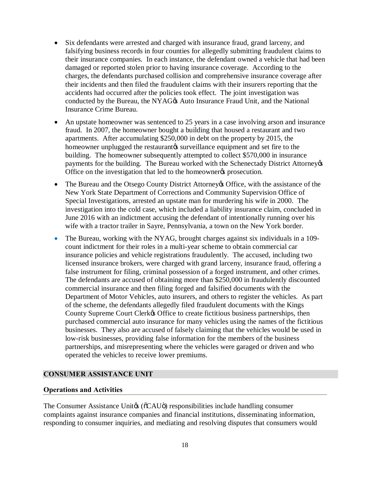- <span id="page-17-0"></span> • Six defendants were arrested and charged with insurance fraud, grand larceny, and falsifying business records in four counties for allegedly submitting fraudulent claims to their insurance companies. In each instance, the defendant owned a vehicle that had been damaged or reported stolen prior to having insurance coverage. According to the their incidents and then filed the fraudulent claims with their insurers reporting that the accidents had occurred after the policies took effect. The joint investigation was conducted by the Bureau, the NYAG $\alpha$  Auto Insurance Fraud Unit, and the National Insurance Crime Bureau. charges, the defendants purchased collision and comprehensive insurance coverage after
- An upstate homeowner was sentenced to 25 years in a case involving arson and insurance fraud. In 2007, the homeowner bought a building that housed a restaurant and two apartments. After accumulating \$250,000 in debt on the property by 2015, the homeowner unplugged the restaurant ts surveillance equipment and set fire to the building. The homeowner subsequently attempted to collect \$570,000 in insurance payments for the building. The Bureau worked with the Schenectady District Attorney  $\&$ Office on the investigation that led to the homeowner% prosecution.
- The Bureau and the Otsego County District Attorney & Office, with the assistance of the New York State Department of Corrections and Community Supervision Office of Special Investigations, arrested an upstate man for murdering his wife in 2000. The investigation into the cold case, which included a liability insurance claim, concluded in June 2016 with an indictment accusing the defendant of intentionally running over his wife with a tractor trailer in Sayre, Pennsylvania, a town on the New York border.
- The Bureau, working with the NYAG, brought charges against six individuals in a 109- count indictment for their roles in a multi-year scheme to obtain commercial car insurance policies and vehicle registrations fraudulently. The accused, including two false instrument for filing, criminal possession of a forged instrument, and other crimes. The defendants are accused of obtaining more than \$250,000 in fraudulently discounted commercial insurance and then filing forged and falsified documents with the Department of Motor Vehicles, auto insurers, and others to register the vehicles. As part of the scheme, the defendants allegedly filed fraudulent documents with the Kings County Supreme Court Clerk $\&$  Office to create fictitious business partnerships, then purchased commercial auto insurance for many vehicles using the names of the fictitious businesses. They also are accused of falsely claiming that the vehicles would be used in low-risk businesses, providing false information for the members of the business partnerships, and misrepresenting where the vehicles were garaged or driven and who operated the vehicles to receive lower premiums. licensed insurance brokers, were charged with grand larceny, insurance fraud, offering a

#### **CONSUMER ASSISTANCE UNIT**

#### **Operations and Activities**

The Consumer Assistance Unitøs (õCAUö) responsibilities include handling consumer complaints against insurance companies and financial institutions, disseminating information, responding to consumer inquiries, and mediating and resolving disputes that consumers would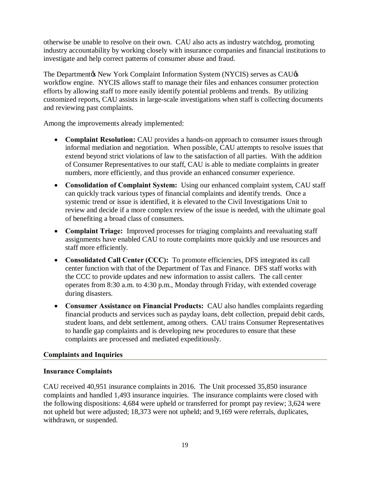<span id="page-18-0"></span> otherwise be unable to resolve on their own. CAU also acts as industry watchdog, promoting industry accountability by working closely with insurance companies and financial institutions to investigate and help correct patterns of consumer abuse and fraud.

The Department & New York Complaint Information System (NYCIS) serves as CAU workflow engine. NYCIS allows staff to manage their files and enhances consumer protection efforts by allowing staff to more easily identify potential problems and trends. By utilizing customized reports, CAU assists in large-scale investigations when staff is collecting documents and reviewing past complaints.

Among the improvements already implemented:

- • **Complaint Resolution:** CAU provides a hands-on approach to consumer issues through informal mediation and negotiation. When possible, CAU attempts to resolve issues that extend beyond strict violations of law to the satisfaction of all parties. With the addition of Consumer Representatives to our staff, CAU is able to mediate complaints in greater numbers, more efficiently, and thus provide an enhanced consumer experience.
- **Consolidation of Complaint System:** Using our enhanced complaint system, CAU staff can quickly track various types of financial complaints and identify trends. Once a systemic trend or issue is identified, it is elevated to the Civil Investigations Unit to review and decide if a more complex review of the issue is needed, with the ultimate goal of benefiting a broad class of consumers.
- • **Complaint Triage:** Improved processes for triaging complaints and reevaluating staff assignments have enabled CAU to route complaints more quickly and use resources and staff more efficiently.
- **Consolidated Call Center (CCC):** To promote efficiencies, DFS integrated its call center function with that of the Department of Tax and Finance. DFS staff works with the CCC to provide updates and new information to assist callers. The call center operates from 8:30 a.m. to 4:30 p.m., Monday through Friday, with extended coverage during disasters.
- • **Consumer Assistance on Financial Products:** CAU also handles complaints regarding financial products and services such as payday loans, debt collection, prepaid debit cards, student loans, and debt settlement, among others. CAU trains Consumer Representatives to handle gap complaints and is developing new procedures to ensure that these complaints are processed and mediated expeditiously.

# **Complaints and Inquiries**

#### **Insurance Complaints**

 CAU received 40,951 insurance complaints in 2016. The Unit processed 35,850 insurance complaints and handled 1,493 insurance inquiries. The insurance complaints were closed with the following dispositions: 4,684 were upheld or transferred for prompt pay review; 3,624 were not upheld but were adjusted; 18,373 were not upheld; and 9,169 were referrals, duplicates, withdrawn, or suspended.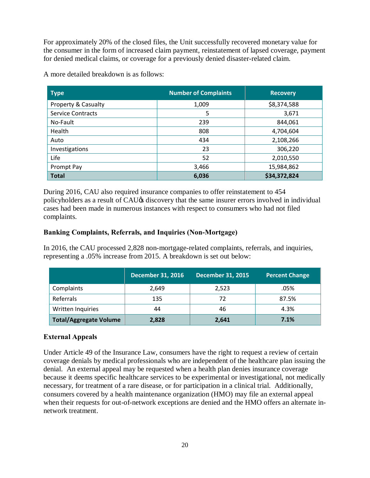For approximately 20% of the closed files, the Unit successfully recovered monetary value for the consumer in the form of increased claim payment, reinstatement of lapsed coverage, payment for denied medical claims, or coverage for a previously denied disaster-related claim.

A more detailed breakdown is as follows:

| <b>Type</b>                    | <b>Number of Complaints</b> | <b>Recovery</b> |
|--------------------------------|-----------------------------|-----------------|
| <b>Property &amp; Casualty</b> | 1,009                       | \$8,374,588     |
| <b>Service Contracts</b>       | 5                           | 3,671           |
| No-Fault                       | 239                         | 844,061         |
| <b>Health</b>                  | 808                         | 4,704,604       |
| Auto                           | 434                         | 2,108,266       |
| Investigations                 | 23                          | 306,220         |
| Life                           | 52                          | 2,010,550       |
| Prompt Pay                     | 3,466                       | 15,984,862      |
| <b>Total</b>                   | 6,036                       | \$34,372,824    |

 During 2016, CAU also required insurance companies to offer reinstatement to 454 policyholders as a result of CAU $\alpha$  discovery that the same insurer errors involved in individual cases had been made in numerous instances with respect to consumers who had not filed complaints.

# **Banking Complaints, Referrals, and Inquiries (Non-Mortgage)**

 In 2016, the CAU processed 2,828 non-mortgage-related complaints, referrals, and inquiries, representing a .05% increase from 2015. A breakdown is set out below:

|                               | <b>December 31, 2016</b> | <b>December 31, 2015</b> | <b>Percent Change</b> |
|-------------------------------|--------------------------|--------------------------|-----------------------|
| Complaints                    | 2,649                    | 2,523                    | .05%                  |
| Referrals                     | 135                      | 72                       | 87.5%                 |
| Written Inquiries             | 44                       | 46                       | 4.3%                  |
| <b>Total/Aggregate Volume</b> | 2,828                    | 2,641                    | 7.1%                  |

# **External Appeals**

 Under Article 49 of the Insurance Law, consumers have the right to request a review of certain coverage denials by medical professionals who are independent of the healthcare plan issuing the denial. An external appeal may be requested when a health plan denies insurance coverage because it deems specific healthcare services to be experimental or investigational, not medically necessary, for treatment of a rare disease, or for participation in a clinical trial. Additionally, consumers covered by a health maintenance organization (HMO) may file an external appeal when their requests for out-of-network exceptions are denied and the HMO offers an alternate in-network treatment.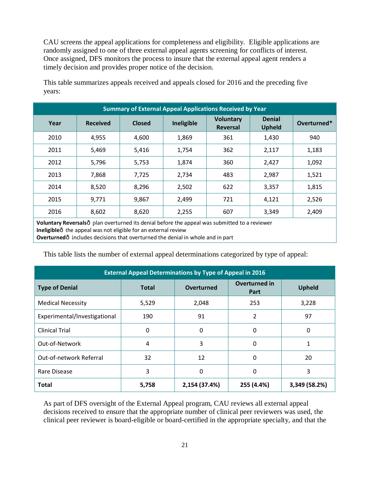CAU screens the appeal applications for completeness and eligibility. Eligible applications are randomly assigned to one of three external appeal agents screening for conflicts of interest. Once assigned, DFS monitors the process to insure that the external appeal agent renders a timely decision and provides proper notice of the decision.

| <b>Summary of External Appeal Applications Received by Year</b> |                 |               |            |                                     |                                |             |
|-----------------------------------------------------------------|-----------------|---------------|------------|-------------------------------------|--------------------------------|-------------|
| Year                                                            | <b>Received</b> | <b>Closed</b> | Ineligible | <b>Voluntary</b><br><b>Reversal</b> | <b>Denial</b><br><b>Upheld</b> | Overturned* |
| 2010                                                            | 4,955           | 4,600         | 1,869      | 361                                 | 1,430                          | 940         |
| 2011                                                            | 5,469           | 5,416         | 1,754      | 362                                 | 2,117                          | 1,183       |
| 2012                                                            | 5,796           | 5,753         | 1,874      | 360                                 | 2,427                          | 1,092       |
| 2013                                                            | 7,868           | 7,725         | 2,734      | 483                                 | 2,987                          | 1,521       |
| 2014                                                            | 8,520           | 8,296         | 2,502      | 622                                 | 3,357                          | 1,815       |
| 2015                                                            | 9,771           | 9,867         | 2,499      | 721                                 | 4,121                          | 2,526       |
| 2016                                                            | 8,602           | 8,620         | 2,255      | 607                                 | 3,349                          | 2,409       |

 This table summarizes appeals received and appeals closed for 2016 and the preceding five years:

 **Voluntary Reversals**—plan overturned its denial before the appeal was submitted to a reviewer Ineligibleô the appeal was not eligible for an external review

Overturnedô includes decisions that overturned the denial in whole and in part

This table lists the number of external appeal determinations categorized by type of appeal:

| <b>External Appeal Determinations by Type of Appeal in 2016</b> |              |               |                              |               |  |  |
|-----------------------------------------------------------------|--------------|---------------|------------------------------|---------------|--|--|
| <b>Type of Denial</b>                                           | <b>Total</b> | Overturned    | <b>Overturned in</b><br>Part | <b>Upheld</b> |  |  |
| <b>Medical Necessity</b>                                        | 5,529        | 2,048         | 253                          | 3,228         |  |  |
| Experimental/Investigational                                    | 190          | 91            | 2                            | 97            |  |  |
| <b>Clinical Trial</b>                                           | 0            | $\Omega$      | 0                            | 0             |  |  |
| Out-of-Network                                                  | 4            | 3             | 0                            |               |  |  |
| Out-of-network Referral                                         | 32           | 12            | 0                            | 20            |  |  |
| Rare Disease                                                    | 3            | 0             | 0                            | 3             |  |  |
| <b>Total</b>                                                    | 5,758        | 2,154 (37.4%) | 255 (4.4%)                   | 3,349 (58.2%) |  |  |

 As part of DFS oversight of the External Appeal program, CAU reviews all external appeal decisions received to ensure that the appropriate number of clinical peer reviewers was used, the clinical peer reviewer is board-eligible or board-certified in the appropriate specialty, and that the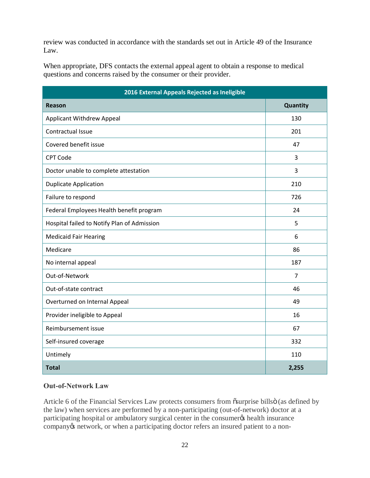review was conducted in accordance with the standards set out in Article 49 of the Insurance Law.

Law.<br>When appropriate, DFS contacts the external appeal agent to obtain a response to medical questions and concerns raised by the consumer or their provider.

| 2016 External Appeals Rejected as Ineligible |                |  |  |  |
|----------------------------------------------|----------------|--|--|--|
| Reason                                       | Quantity       |  |  |  |
| Applicant Withdrew Appeal                    | 130            |  |  |  |
| <b>Contractual Issue</b>                     | 201            |  |  |  |
| Covered benefit issue                        | 47             |  |  |  |
| <b>CPT Code</b>                              | $\overline{3}$ |  |  |  |
| Doctor unable to complete attestation        | 3              |  |  |  |
| <b>Duplicate Application</b>                 | 210            |  |  |  |
| Failure to respond                           | 726            |  |  |  |
| Federal Employees Health benefit program     | 24             |  |  |  |
| Hospital failed to Notify Plan of Admission  | 5              |  |  |  |
| <b>Medicaid Fair Hearing</b>                 | 6              |  |  |  |
| Medicare                                     | 86             |  |  |  |
| No internal appeal                           | 187            |  |  |  |
| Out-of-Network                               | $\overline{7}$ |  |  |  |
| Out-of-state contract                        | 46             |  |  |  |
| Overturned on Internal Appeal                | 49             |  |  |  |
| Provider ineligible to Appeal                | 16             |  |  |  |
| Reimbursement issue                          | 67             |  |  |  |
| Self-insured coverage                        | 332            |  |  |  |
| Untimely                                     | 110            |  |  |  |
| <b>Total</b>                                 | 2,255          |  |  |  |

#### **Out-of-Network Law**

Article 6 of the Financial Services Law protects consumers from osurprise billsö (as defined by the law) when services are performed by a non-participating (out-of-network) doctor at a participating hospital or ambulatory surgical center in the consumer  $\alpha$  health insurance company os network, or when a participating doctor refers an insured patient to a non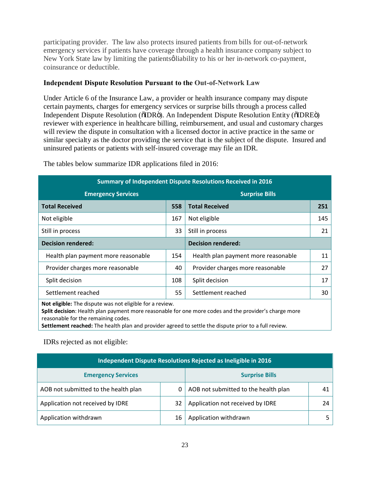participating provider. The law also protects insured patients from bills for out-of-network emergency services if patients have coverage through a health insurance company subject to New York State law by limiting the patientsø liability to his or her in-network co-payment, coinsurance or deductible.

#### **Independent Dispute Resolution Pursuant to the Out-of-Network Law**

 Under Article 6 of the Insurance Law, a provider or health insurance company may dispute certain payments, charges for emergency services or surprise bills through a process called Independent Dispute Resolution (õIDRö). An Independent Dispute Resolution Entity (õIDREö) reviewer with experience in healthcare billing, reimbursement, and usual and customary charges will review the dispute in consultation with a licensed doctor in active practice in the same or similar specialty as the doctor providing the service that is the subject of the dispute. Insured and uninsured patients or patients with self-insured coverage may file an IDR.

| <b>Summary of Independent Dispute Resolutions Received in 2016</b> |     |                                     |     |  |
|--------------------------------------------------------------------|-----|-------------------------------------|-----|--|
| <b>Emergency Services</b>                                          |     | <b>Surprise Bills</b>               |     |  |
| <b>Total Received</b>                                              | 558 | <b>Total Received</b>               | 251 |  |
| Not eligible                                                       | 167 | Not eligible                        | 145 |  |
| Still in process                                                   | 33  | Still in process                    | 21  |  |
| <b>Decision rendered:</b>                                          |     | <b>Decision rendered:</b>           |     |  |
| Health plan payment more reasonable                                | 154 | Health plan payment more reasonable | 11  |  |
| Provider charges more reasonable                                   | 40  | Provider charges more reasonable    | 27  |  |
| Split decision                                                     | 108 | Split decision                      | 17  |  |
| Settlement reached                                                 | 55  | Settlement reached                  | 30  |  |
| Not eligible: The dispute was not eligible for a review.           |     |                                     |     |  |

The tables below summarize IDR applications filed in 2016:

 **Split decision**: Health plan payment more reasonable for one more codes and the provider's charge more reasonable for the remaining codes.

 **Settlement reached:** The health plan and provider agreed to settle the dispute prior to a full review.

IDRs rejected as not eligible:

| Independent Dispute Resolutions Rejected as Ineligible in 2016 |    |                                      |    |  |
|----------------------------------------------------------------|----|--------------------------------------|----|--|
| <b>Surprise Bills</b><br><b>Emergency Services</b>             |    |                                      |    |  |
| AOB not submitted to the health plan                           | 0  | AOB not submitted to the health plan | 41 |  |
| Application not received by IDRE                               | 32 | Application not received by IDRE     | 24 |  |
| Application withdrawn                                          | 16 | Application withdrawn                |    |  |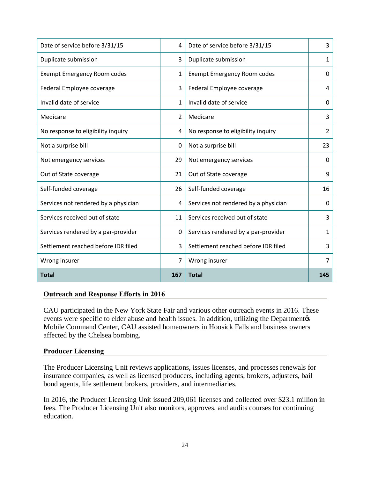| Date of service before 3/31/15       | 4              | Date of service before 3/31/15       | 3              |
|--------------------------------------|----------------|--------------------------------------|----------------|
| Duplicate submission                 | 3              | Duplicate submission                 | $\mathbf{1}$   |
| <b>Exempt Emergency Room codes</b>   | 1              | <b>Exempt Emergency Room codes</b>   | 0              |
| Federal Employee coverage            | 3              | Federal Employee coverage            | 4              |
| Invalid date of service              | 1              | Invalid date of service              | 0              |
| Medicare                             | $\overline{2}$ | Medicare                             | 3              |
| No response to eligibility inquiry   | 4              | No response to eligibility inquiry   | $\overline{2}$ |
| Not a surprise bill                  | 0              | Not a surprise bill                  | 23             |
| Not emergency services               | 29             | Not emergency services               | 0              |
| Out of State coverage                | 21             | Out of State coverage                | 9              |
| Self-funded coverage                 | 26             | Self-funded coverage                 | 16             |
| Services not rendered by a physician | 4              | Services not rendered by a physician | 0              |
| Services received out of state       | 11             | Services received out of state       | 3              |
| Services rendered by a par-provider  | 0              | Services rendered by a par-provider  | 1              |
| Settlement reached before IDR filed  | 3              | Settlement reached before IDR filed  | 3              |
| Wrong insurer                        | 7              | Wrong insurer                        | 7              |
| <b>Total</b>                         | 167            | <b>Total</b>                         | 145            |

#### **Outreach and Response Efforts in 2016**

 CAU participated in the New York State Fair and various other outreach events in 2016. These events were specific to elder abuse and health issues. In addition, utilizing the Department  $\alpha$  Mobile Command Center, CAU assisted homeowners in Hoosick Falls and business owners affected by the Chelsea bombing.

#### **Producer Licensing**

 The Producer Licensing Unit reviews applications, issues licenses, and processes renewals for insurance companies, as well as licensed producers, including agents, brokers, adjusters, bail bond agents, life settlement brokers, providers, and intermediaries.

 In 2016, the Producer Licensing Unit issued 209,061 licenses and collected over \$23.1 million in fees. The Producer Licensing Unit also monitors, approves, and audits courses for continuing education.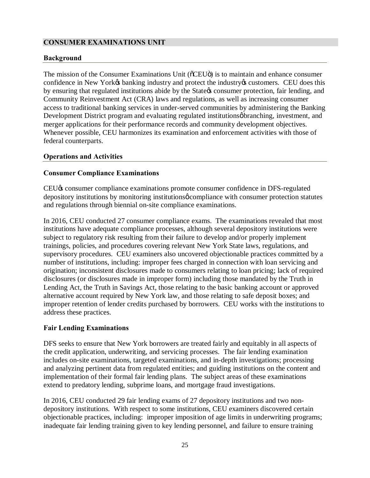#### <span id="page-24-0"></span> **CONSUMER EXAMINATIONS UNIT**

#### **Background**

The mission of the Consumer Examinations Unit (õCEUö) is to maintain and enhance consumer confidence in New Yorkøs banking industry and protect the industry text customers. CEU does this by ensuring that regulated institutions abide by the State & consumer protection, fair lending, and Community Reinvestment Act (CRA) laws and regulations, as well as increasing consumer access to traditional banking services in under-served communities by administering the Banking Development District program and evaluating regulated institutionsøbranching, investment, and merger applications for their performance records and community development objectives. Whenever possible, CEU harmonizes its examination and enforcement activities with those of federal counterparts.

#### **Operations and Activities**

#### **Consumer Compliance Examinations**

 CEU's consumer compliance examinations promote consumer confidence in DFS-regulated depository institutions by monitoring institutions ocompliance with consumer protection statutes and regulations through biennial on-site compliance examinations.

 In 2016, CEU conducted 27 consumer compliance exams. The examinations revealed that most institutions have adequate compliance processes, although several depository institutions were subject to regulatory risk resulting from their failure to develop and/or properly implement trainings, policies, and procedures covering relevant New York State laws, regulations, and supervisory procedures. CEU examiners also uncovered objectionable practices committed by a number of institutions, including: improper fees charged in connection with loan servicing and origination; inconsistent disclosures made to consumers relating to loan pricing; lack of required disclosures (or disclosures made in improper form) including those mandated by the Truth in Lending Act, the Truth in Savings Act, those relating to the basic banking account or approved alternative account required by New York law, and those relating to safe deposit boxes; and improper retention of lender credits purchased by borrowers. CEU works with the institutions to address these practices.

#### **Fair Lending Examinations**

 DFS seeks to ensure that New York borrowers are treated fairly and equitably in all aspects of the credit application, underwriting, and servicing processes. The fair lending examination and analyzing pertinent data from regulated entities; and guiding institutions on the content and implementation of their formal fair lending plans. The subject areas of these examinations extend to predatory lending, subprime loans, and mortgage fraud investigations. includes on-site examinations, targeted examinations, and in-depth investigations; processing

 In 2016, CEU conducted 29 fair lending exams of 27 depository institutions and two non- depository institutions. With respect to some institutions, CEU examiners discovered certain objectionable practices, including: improper imposition of age limits in underwriting programs; inadequate fair lending training given to key lending personnel, and failure to ensure training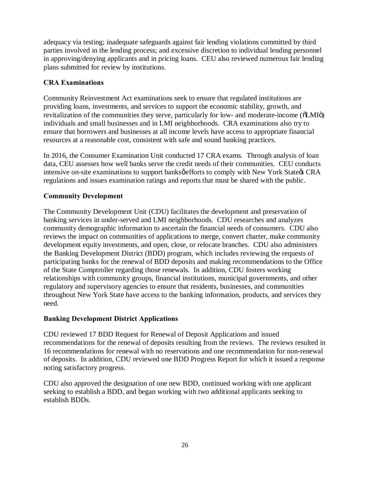adequacy via testing; inadequate safeguards against fair lending violations committed by third parties involved in the lending process; and excessive discretion to individual lending personnel in approving/denying applicants and in pricing loans. CEU also reviewed numerous fair lending plans submitted for review by institutions.

# **CRA Examinations**

 Community Reinvestment Act examinations seek to ensure that regulated institutions are providing loans, investments, and services to support the economic stability, growth, and revitalization of the communities they serve, particularly for low- and moderate-income ( $\delta$ LMI $\delta$ ) individuals and small businesses and in LMI neighborhoods. CRA examinations also try to ensure that borrowers and businesses at all income levels have access to appropriate financial resources at a reasonable cost, consistent with safe and sound banking practices.

 In 2016, the Consumer Examination Unit conducted 17 CRA exams. Through analysis of loan data, CEU assesses how well banks serve the credit needs of their communities. CEU conducts intensive on-site examinations to support banksøefforts to comply with New York State & CRA regulations and issues examination ratings and reports that must be shared with the public.

# **Community Development**

 The Community Development Unit (CDU) facilitates the development and preservation of banking services in under-served and LMI neighborhoods. CDU researches and analyzes community demographic information to ascertain the financial needs of consumers. CDU also reviews the impact on communities of applications to merge, convert charter, make community development equity investments, and open, close, or relocate branches. CDU also administers the Banking Development District (BDD) program, which includes reviewing the requests of participating banks for the renewal of BDD deposits and making recommendations to the Office of the State Comptroller regarding those renewals. In addition, CDU fosters working relationships with community groups, financial institutions, municipal governments, and other regulatory and supervisory agencies to ensure that residents, businesses, and communities throughout New York State have access to the banking information, products, and services they need.

# **Banking Development District Applications**

 CDU reviewed 17 BDD Request for Renewal of Deposit Applications and issued recommendations for the renewal of deposits resulting from the reviews. The reviews resulted in 16 recommendations for renewal with no reservations and one recommendation for non-renewal of deposits. In addition, CDU reviewed one BDD Progress Report for which it issued a response noting satisfactory progress.

 CDU also approved the designation of one new BDD, continued working with one applicant seeking to establish a BDD, and began working with two additional applicants seeking to establish BDDs.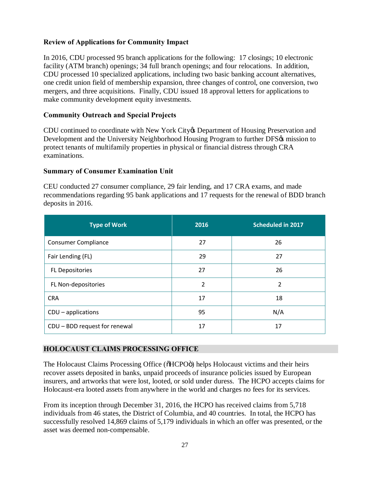# **Review of Applications for Community Impact**

 In 2016, CDU processed 95 branch applications for the following: 17 closings; 10 electronic facility (ATM branch) openings; 34 full branch openings; and four relocations. In addition, CDU processed 10 specialized applications, including two basic banking account alternatives, one credit union field of membership expansion, three changes of control, one conversion, two mergers, and three acquisitions. Finally, CDU issued 18 approval letters for applications to make community development equity investments.

# **Community Outreach and Special Projects**

CDU continued to coordinate with New York City & Department of Housing Preservation and Development and the University Neighborhood Housing Program to further DFS& mission to protect tenants of multifamily properties in physical or financial distress through CRA examinations.

# **Summary of Consumer Examination Unit**

 CEU conducted 27 consumer compliance, 29 fair lending, and 17 CRA exams, and made recommendations regarding 95 bank applications and 17 requests for the renewal of BDD branch deposits in 2016.

| <b>Type of Work</b>           | 2016           | <b>Scheduled in 2017</b> |
|-------------------------------|----------------|--------------------------|
| <b>Consumer Compliance</b>    | 27             | 26                       |
| Fair Lending (FL)             | 29             | 27                       |
| <b>FL Depositories</b>        | 27             | 26                       |
| FL Non-depositories           | $\overline{2}$ | $\overline{2}$           |
| <b>CRA</b>                    | 17             | 18                       |
| $CDU$ – applications          | 95             | N/A                      |
| CDU - BDD request for renewal | 17             | 17                       |

# **HOLOCAUST CLAIMS PROCESSING OFFICE**

The Holocaust Claims Processing Office (OHCPOO) helps Holocaust victims and their heirs recover assets deposited in banks, unpaid proceeds of insurance policies issued by European insurers, and artworks that were lost, looted, or sold under duress. The HCPO accepts claims for Holocaust-era looted assets from anywhere in the world and charges no fees for its services.

 From its inception through December 31, 2016, the HCPO has received claims from 5,718 individuals from 46 states, the District of Columbia, and 40 countries. In total, the HCPO has successfully resolved 14,869 claims of 5,179 individuals in which an offer was presented, or the asset was deemed non-compensable.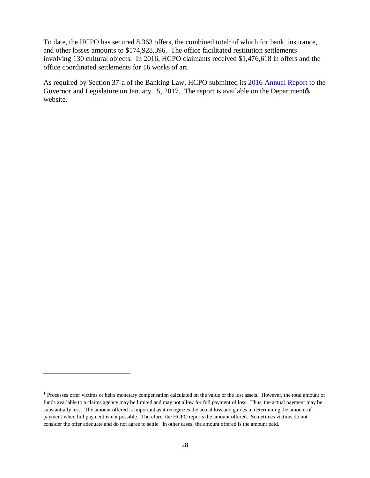To date, the HCPO has secured 8,363 offers, the combined total<sup>1</sup> of which for bank, insurance, and other losses amounts to \$174,928,396. The office facilitated restitution settlements involving 130 cultural objects. In 2016, HCPO claimants received \$1,476,618 in offers and the office coordinated settlements for 16 works of art.

As required by Section 37-a of the Banking Law, HCPO submitted its 2016 Annual Report to the Governor and Legislature on January 15, 2017. The report is available on the Department  $\alpha$ website.

 $\overline{a}$ 

<sup>&</sup>lt;sup>1</sup> Processes offer victims or heirs monetary compensation calculated on the value of the lost assets. However, the total amount of funds available to a claims agency may be limited and may not allow for full payment of loss. Thus, the actual payment may be substantially less. The amount offered is important as it recognizes the actual loss and guides in determining the amount of payment when full payment is not possible. Therefore, the HCPO reports the amount offered. Sometimes victims do not consider the offer adequate and do not agree to settle. In other cases, the amount offered is the amount paid.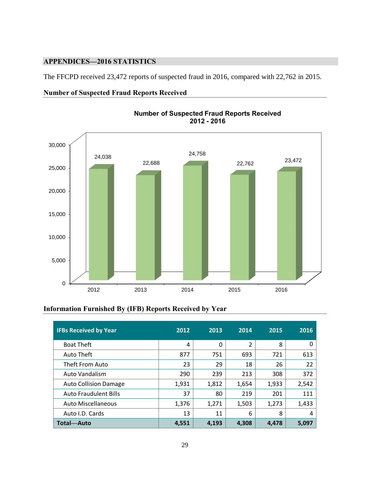# **APPENDICES—2016 STATISTICS**

The FFCPD received 23,472 reports of suspected fraud in 2016, compared with 22,762 in 2015.

#### **Number of Suspected Fraud Reports Received**



#### **Number of Suspected Fraud Reports Received 2012 - 2016**

#### **Information Furnished By (IFB) Reports Received by Year**

| <b>IFBs Received by Year</b> | 2012  | 2013  | 2014  | 2015  | 2016  |
|------------------------------|-------|-------|-------|-------|-------|
| <b>Boat Theft</b>            | 4     | 0     | 2     | 8     | 0     |
| Auto Theft                   | 877   | 751   | 693   | 721   | 613   |
| Theft From Auto              | 23    | 29    | 18    | 26    | 22    |
| Auto Vandalism               | 290   | 239   | 213   | 308   | 372   |
| <b>Auto Collision Damage</b> | 1,931 | 1,812 | 1,654 | 1,933 | 2,542 |
| <b>Auto Fraudulent Bills</b> | 37    | 80    | 219   | 201   | 111   |
| <b>Auto Miscellaneous</b>    | 1,376 | 1,271 | 1,503 | 1,273 | 1,433 |
| Auto I.D. Cards              | 13    | 11    | 6     | 8     | 4     |
| Total-Auto                   | 4,551 | 4,193 | 4,308 | 4,478 | 5,097 |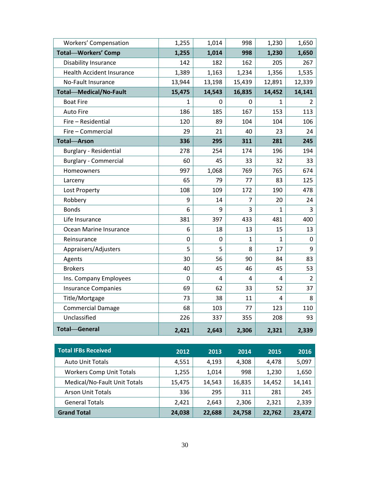| <b>Workers' Compensation</b>     | 1,255       | 1,014       | 998            | 1,230        | 1,650          |
|----------------------------------|-------------|-------------|----------------|--------------|----------------|
| <b>Total-Workers' Comp</b>       | 1,255       | 1,014       | 998            | 1,230        | 1,650          |
| <b>Disability Insurance</b>      | 142         | 182         | 162            | 205          | 267            |
| <b>Health Accident Insurance</b> | 1,389       | 1,163       | 1,234          | 1,356        | 1,535          |
| No-Fault Insurance               | 13,944      | 13,198      | 15,439         | 12,891       | 12,339         |
| <b>Total-Medical/No-Fault</b>    | 15,475      | 14,543      | 16,835         | 14,452       | 14,141         |
| <b>Boat Fire</b>                 | 1           | 0           | 0              | 1            | $\overline{2}$ |
| <b>Auto Fire</b>                 | 186         | 185         | 167            | 153          | 113            |
| Fire - Residential               | 120         | 89          | 104            | 104          | 106            |
| Fire - Commercial                | 29          | 21          | 40             | 23           | 24             |
| <b>Total-Arson</b>               | 336         | 295         | 311            | 281          | 245            |
| <b>Burglary - Residential</b>    | 278         | 254         | 174            | 196          | 194            |
| <b>Burglary - Commercial</b>     | 60          | 45          | 33             | 32           | 33             |
| Homeowners                       | 997         | 1,068       | 769            | 765          | 674            |
| Larceny                          | 65          | 79          | 77             | 83           | 125            |
| Lost Property                    | 108         | 109         | 172            | 190          | 478            |
| Robbery                          | 9           | 14          | $\overline{7}$ | 20           | 24             |
| <b>Bonds</b>                     | 6           | 9           | 3              | 1            | 3              |
| Life Insurance                   | 381         | 397         | 433            | 481          | 400            |
| Ocean Marine Insurance           | 6           | 18          | 13             | 15           | 13             |
| Reinsurance                      | $\mathbf 0$ | $\mathbf 0$ | $\mathbf{1}$   | $\mathbf{1}$ | $\mathbf 0$    |
| Appraisers/Adjusters             | 5           | 5           | 8              | 17           | 9              |
| Agents                           | 30          | 56          | 90             | 84           | 83             |
| <b>Brokers</b>                   | 40          | 45          | 46             | 45           | 53             |
| Ins. Company Employees           | 0           | 4           | 4              | 4            | $\overline{2}$ |
| <b>Insurance Companies</b>       | 69          | 62          | 33             | 52           | 37             |
| Title/Mortgage                   | 73          | 38          | 11             | 4            | 8              |
| <b>Commercial Damage</b>         | 68          | 103         | 77             | 123          | 110            |
| Unclassified                     | 226         | 337         | 355            | 208          | 93             |
| <b>Total-General</b>             | 2,421       | 2,643       | 2,306          | 2,321        | 2,339          |

| <b>Total IFBs Received</b>      | 2012   | 2013   | 2014   | 2015   | 2016   |
|---------------------------------|--------|--------|--------|--------|--------|
| <b>Auto Unit Totals</b>         | 4,551  | 4,193  | 4,308  | 4,478  | 5,097  |
| <b>Workers Comp Unit Totals</b> | 1,255  | 1,014  | 998    | 1,230  | 1,650  |
| Medical/No-Fault Unit Totals    | 15,475 | 14,543 | 16,835 | 14,452 | 14,141 |
| <b>Arson Unit Totals</b>        | 336    | 295    | 311    | 281    | 245    |
| <b>General Totals</b>           | 2,421  | 2,643  | 2,306  | 2,321  | 2,339  |
| <b>Grand Total</b>              | 24,038 | 22,688 | 24,758 | 22,762 | 23,472 |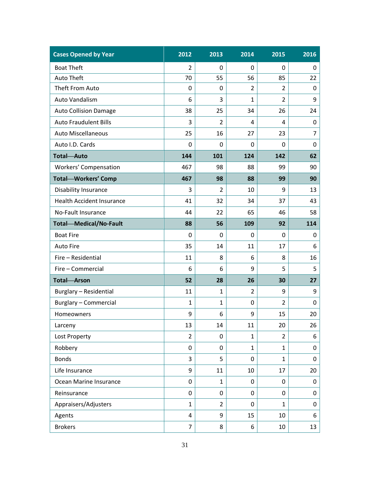| <b>Cases Opened by Year</b>      | 2012           | 2013           | 2014           | 2015           | 2016           |
|----------------------------------|----------------|----------------|----------------|----------------|----------------|
| <b>Boat Theft</b>                | $\overline{2}$ | $\mathbf 0$    | 0              | 0              | 0              |
| <b>Auto Theft</b>                | 70             | 55             | 56             | 85             | 22             |
| Theft From Auto                  | 0              | 0              | $\overline{2}$ | $\overline{2}$ | 0              |
| Auto Vandalism                   | 6              | 3              | 1              | $\overline{2}$ | 9              |
| <b>Auto Collision Damage</b>     | 38             | 25             | 34             | 26             | 24             |
| <b>Auto Fraudulent Bills</b>     | 3              | $\overline{2}$ | 4              | 4              | 0              |
| <b>Auto Miscellaneous</b>        | 25             | 16             | 27             | 23             | $\overline{7}$ |
| Auto I.D. Cards                  | 0              | 0              | 0              | 0              | 0              |
| <b>Total-Auto</b>                | 144            | 101            | 124            | 142            | 62             |
| Workers' Compensation            | 467            | 98             | 88             | 99             | 90             |
| <b>Total-Workers' Comp</b>       | 467            | 98             | 88             | 99             | 90             |
| Disability Insurance             | 3              | $\overline{2}$ | 10             | 9              | 13             |
| <b>Health Accident Insurance</b> | 41             | 32             | 34             | 37             | 43             |
| No-Fault Insurance               | 44             | 22             | 65             | 46             | 58             |
| <b>Total-Medical/No-Fault</b>    | 88             | 56             | 109            | 92             | 114            |
| <b>Boat Fire</b>                 | $\mathbf 0$    | $\mathbf 0$    | $\mathbf 0$    | $\mathbf 0$    | 0              |
| <b>Auto Fire</b>                 | 35             | 14             | 11             | 17             | 6              |
| Fire - Residential               | 11             | 8              | 6              | 8              | 16             |
| Fire - Commercial                | 6              | 6              | 9              | 5              | 5              |
| <b>Total-Arson</b>               | 52             | 28             | 26             | 30             | 27             |
| <b>Burglary - Residential</b>    | 11             | $\mathbf{1}$   | 2              | 9              | 9              |
| Burglary - Commercial            | $\mathbf{1}$   | $\mathbf{1}$   | 0              | 2              | 0              |
| Homeowners                       | 9              | 6              | 9              | 15             | 20             |
| Larceny                          | 13             | 14             | 11             | 20             | 26             |
| Lost Property                    | $\overline{2}$ | $\mathbf 0$    | $\mathbf{1}$   | $\overline{2}$ | 6              |
| Robbery                          | $\pmb{0}$      | $\mathbf 0$    | $\mathbf{1}$   | $\mathbf{1}$   | 0              |
| <b>Bonds</b>                     | 3              | 5              | $\mathbf 0$    | $\mathbf{1}$   | 0              |
| Life Insurance                   | 9              | 11             | 10             | 17             | 20             |
| Ocean Marine Insurance           | 0              | $\mathbf{1}$   | 0              | 0              | 0              |
| Reinsurance                      | 0              | 0              | 0              | $\pmb{0}$      | 0              |
| Appraisers/Adjusters             | $\mathbf{1}$   | $\overline{2}$ | 0              | $\mathbf{1}$   | 0              |
| Agents                           | 4              | 9              | 15             | 10             | 6              |
| <b>Brokers</b>                   | $\overline{7}$ | 8              | 6              | 10             | 13             |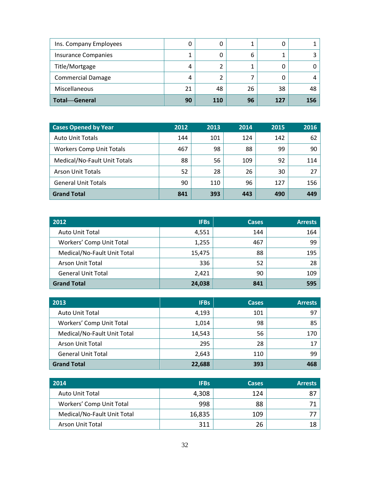| Ins. Company Employees     |    |     |    |     |     |
|----------------------------|----|-----|----|-----|-----|
| <b>Insurance Companies</b> |    |     | 6  |     |     |
| Title/Mortgage             | 4  |     |    |     |     |
| <b>Commercial Damage</b>   | 4  |     |    |     | 4   |
| Miscellaneous              | 21 | 48  | 26 | 38  | 48  |
| <b>Total-General</b>       | 90 | 110 | 96 | 127 | 156 |

| <b>Cases Opened by Year</b>     | 2012 | 2013 | 2014 | 2015 | 2016 |
|---------------------------------|------|------|------|------|------|
| <b>Auto Unit Totals</b>         | 144  | 101  | 124  | 142  | 62   |
| <b>Workers Comp Unit Totals</b> | 467  | 98   | 88   | 99   | 90   |
| Medical/No-Fault Unit Totals    | 88   | 56   | 109  | 92   | 114  |
| <b>Arson Unit Totals</b>        | 52   | 28   | 26   | 30   | 27   |
| <b>General Unit Totals</b>      | 90   | 110  | 96   | 127  | 156  |
| <b>Grand Total</b>              | 841  | 393  | 443  | 490  | 449  |

| 2012                        | <b>IFBs</b> | <b>Cases</b> | <b>Arrests</b> |
|-----------------------------|-------------|--------------|----------------|
| <b>Auto Unit Total</b>      | 4,551       | 144          | 164            |
| Workers' Comp Unit Total    | 1,255       | 467          | 99             |
| Medical/No-Fault Unit Total | 15,475      | 88           | 195            |
| <b>Arson Unit Total</b>     | 336         | 52           | 28             |
| <b>General Unit Total</b>   | 2,421       | 90           | 109            |
| <b>Grand Total</b>          | 24,038      | 841          | 595            |

| 2013                        | <b>IFBs</b> | <b>Cases</b> | <b>Arrests</b> |
|-----------------------------|-------------|--------------|----------------|
| <b>Auto Unit Total</b>      | 4,193       | 101          | 97             |
| Workers' Comp Unit Total    | 1,014       | 98           | 85             |
| Medical/No-Fault Unit Total | 14,543      | 56           | 170            |
| Arson Unit Total            | 295         | 28           | 17             |
| <b>General Unit Total</b>   | 2,643       | 110          | 99             |
| <b>Grand Total</b>          | 22,688      | 393          | 468            |

| 2014                        | <b>IFBs</b> | <b>Cases</b> | <b>Arrests</b> |
|-----------------------------|-------------|--------------|----------------|
| <b>Auto Unit Total</b>      | 4,308       | 124          |                |
| Workers' Comp Unit Total    | 998         | 88           |                |
| Medical/No-Fault Unit Total | 16,835      | 109          |                |
| Arson Unit Total            | 311         | 26           |                |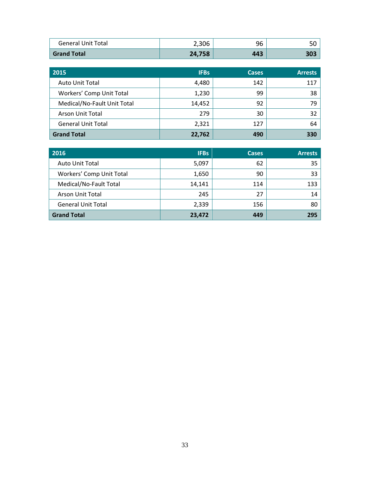| <b>General Unit Total</b> | 2,306  | 96  | 50  |
|---------------------------|--------|-----|-----|
| <b>Grand Total</b>        | 24,758 | 443 | 303 |

| 2015                        | <b>IFBs</b> | <b>Cases</b> | <b>Arrests</b> |
|-----------------------------|-------------|--------------|----------------|
| <b>Auto Unit Total</b>      | 4,480       | 142          | 117            |
| Workers' Comp Unit Total    | 1,230       | 99           | 38             |
| Medical/No-Fault Unit Total | 14,452      | 92           | 79             |
| <b>Arson Unit Total</b>     | 279         | 30           | 32             |
| <b>General Unit Total</b>   | 2,321       | 127          | 64             |
| <b>Grand Total</b>          | 22,762      | 490          | 330            |

| 2016                      | <b>IFBs</b> | <b>Cases</b> | <b>Arrests</b> |
|---------------------------|-------------|--------------|----------------|
| <b>Auto Unit Total</b>    | 5,097       | 62           | 35             |
| Workers' Comp Unit Total  | 1,650       | 90           | 33             |
| Medical/No-Fault Total    | 14,141      | 114          | 133            |
| Arson Unit Total          | 245         | 27           | 14             |
| <b>General Unit Total</b> | 2,339       | 156          | 80             |
| <b>Grand Total</b>        | 23,472      | 449          | 295            |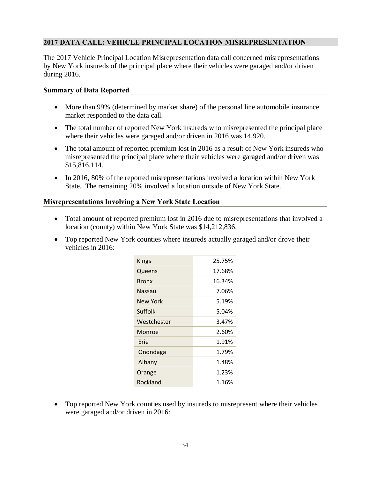#### **2017 DATA CALL: VEHICLE PRINCIPAL LOCATION MISREPRESENTATION**

 The 2017 Vehicle Principal Location Misrepresentation data call concerned misrepresentations by New York insureds of the principal place where their vehicles were garaged and/or driven during 2016.

#### **Summary of Data Reported**

- • More than 99% (determined by market share) of the personal line automobile insurance market responded to the data call.
- • The total number of reported New York insureds who misrepresented the principal place where their vehicles were garaged and/or driven in 2016 was 14,920.
- The total amount of reported premium lost in 2016 as a result of New York insureds who misrepresented the principal place where their vehicles were garaged and/or driven was \$15,816,114.
- In 2016, 80% of the reported misrepresentations involved a location within New York State. The remaining 20% involved a location outside of New York State.

#### **Misrepresentations Involving a New York State Location**

- • Total amount of reported premium lost in 2016 due to misrepresentations that involved a location (county) within New York State was \$14,212,836.
- • Top reported New York counties where insureds actually garaged and/or drove their vehicles in 2016:

| Kings       | 25.75% |
|-------------|--------|
| Queens      | 17.68% |
| Bronx       | 16.34% |
| Nassau      | 7.06%  |
| New York    | 5.19%  |
| Suffolk     | 5.04%  |
| Westchester | 3.47%  |
| Monroe      | 2.60%  |
| Frie        | 1.91%  |
| Onondaga    | 1.79%  |
| Albany      | 1.48%  |
| Orange      | 1.23%  |
| Rockland    | 1.16%  |
|             |        |

 • Top reported New York counties used by insureds to misrepresent where their vehicles were garaged and/or driven in 2016: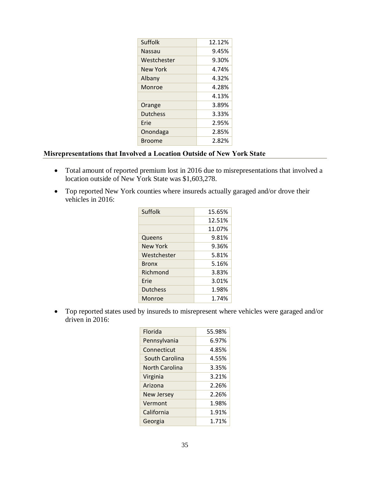| Suffolk         | 12.12% |
|-----------------|--------|
| Nassau          | 9.45%  |
| Westchester     | 9.30%  |
| New York        | 4.74%  |
| Albany          | 4.32%  |
| Monroe          | 4.28%  |
|                 | 4.13%  |
| Orange          | 3.89%  |
| <b>Dutchess</b> | 3.33%  |
| Frie            | 2.95%  |
| Onondaga        | 2.85%  |
| Broome          | 2.82%  |

#### **Misrepresentations that Involved a Location Outside of New York State**

- • Total amount of reported premium lost in 2016 due to misrepresentations that involved a location outside of New York State was \$1,603,278.
- Top reported New York counties where insureds actually garaged and/or drove their vehicles in 2016:

| Suffolk      | 15.65% |
|--------------|--------|
|              | 12.51% |
|              | 11.07% |
| Queens       | 9.81%  |
| New York     | 9.36%  |
| Westchester  | 5.81%  |
| <b>Bronx</b> | 5.16%  |
| Richmond     | 3.83%  |
| Erie         | 3.01%  |
| Dutchess     | 1.98%  |
| Monroe       | 1.74%  |

 • Top reported states used by insureds to misrepresent where vehicles were garaged and/or driven in 2016:

| 55.98% |
|--------|
| 6.97%  |
| 4.85%  |
| 4.55%  |
| 3.35%  |
| 3.21%  |
| 2.26%  |
| 2.26%  |
| 1.98%  |
| 1.91%  |
| 1.71%  |
|        |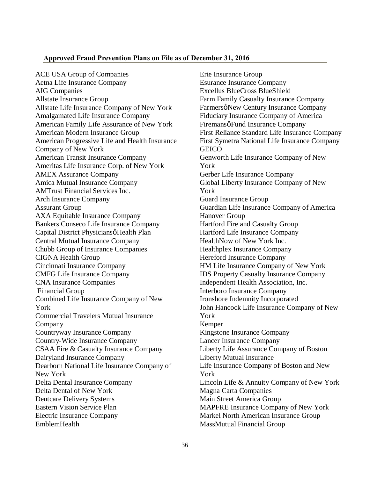#### <span id="page-35-0"></span> **Approved Fraud Prevention Plans on File as of December 31, 2016**

 ACE USA Group of Companies Aetna Life Insurance Company **AIG Companies**  Allstate Life Insurance Company of New York **Amalgamated Life Insurance Company**  Amalgamated Life Insurance Company American Family Life Assurance of New York American Modern Insurance Group Company of New York American Transit Insurance Company Ameritas Life Insurance Corp. of New York AMEX Assurance Company AMTrust Financial Services Inc. Arch Insurance Company Assurant Group **Assurant Group**  Bankers Conseco Life Insurance Company Capital District Physiciansø Health Plan Central Mutual Insurance Company Chubb Group of Insurance Companies CIGNA Health Group Cincinnati Insurance Company CNA Insurance Companies Financial Group **Financial Group**  Combined Life Insurance Company of New Commercial Travelers Mutual Insurance Countryway Insurance Company Country-Wide Insurance Company Countryway Insurance Company Country-Wide Insurance Company CSAA Fire & Casualty Insurance Company Dairyland Insurance Company Dairyland Insurance Company Dearborn National Life Insurance Company of Delta Dental of New York Dentcare Delivery Systems Eastern Vision Service Plan EmblemHealth Allstate Insurance Group American Progressive Life and Health Insurance Amica Mutual Insurance Company AXA Equitable Insurance Company CMFG Life Insurance Company York Company New York Delta Dental Insurance Company Electric Insurance Company

 Excellus BlueCross BlueShield Farm Family Casualty Insurance Company Fiduciary Insurance Company of America Firemansø Fund Insurance Company First Reliance Standard Life Insurance Company Genworth Life Insurance Company of New York Gerber Life Insurance Company York<br>Gerber Life Insurance Company<br>Global Liberty Insurance Company of New **Guard Insurance Group**  Guard Insurance Group Guardian Life Insurance Company of America Hanover Group Hartford Fire and Casualty Group HealthNow of New York Inc. Hereford Insurance Company HM Life Insurance Company of New York IDS Property Casualty Insurance Company Independent Health Association, Inc. **Interboro Insurance Company**  John Hancock Life Insurance Company of New York Kemper **Lancer Insurance Company**  Lancer Insurance Company Liberty Life Assurance Company of Boston Liberty Mutual Insurance Life Insurance Company of Boston and New York York<br>Lincoln Life & Annuity Company of New York **Magna Carta Companies**  MAPFRE Insurance Company of New York Markel North American Insurance Group MassMutual Financial Group Erie Insurance Group Esurance Insurance Company Farmersø New Century Insurance Company First Symetra National Life Insurance Company **GEICO** York Hartford Life Insurance Company Healthplex Insurance Company Ironshore Indemnity Incorporated Kingstone Insurance Company Main Street America Group